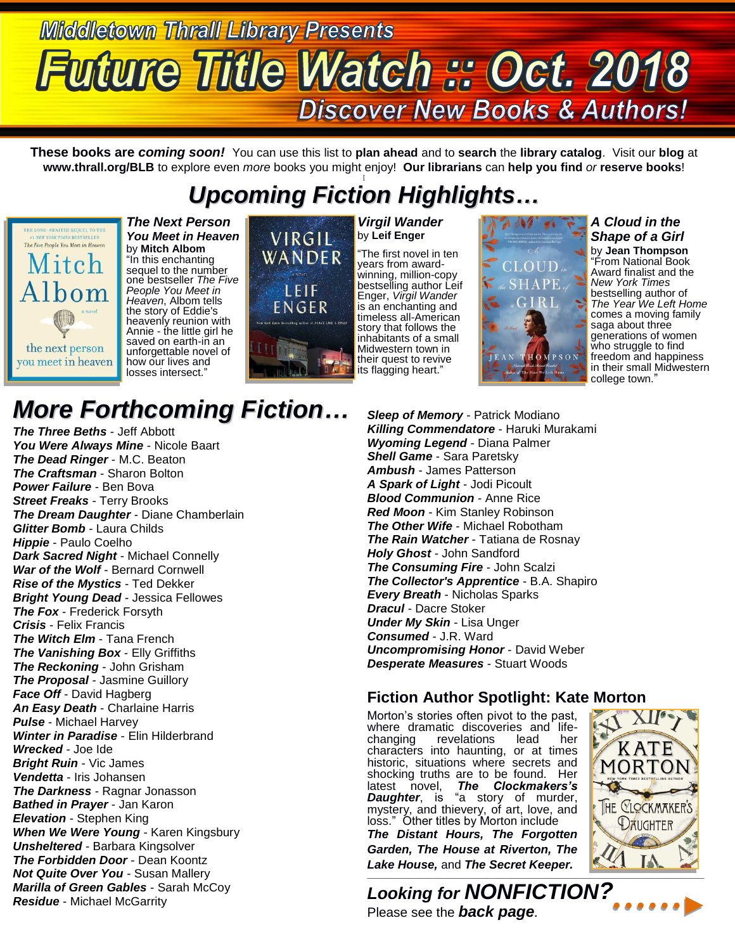# **Middletown Thrall Library Presents Future Title Watch # Oct. 2018 Discover New Books & Authors!**

**These books are** *coming soon!* You can use this list to **plan ahead** and to **search** the **library catalog**. Visit our **blog** at **www.thrall.org/BLB** to explore even *more* books you might enjoy! **Our librarians** can **help you find** *or* **reserve books**!

### *Upcoming Fiction Highlights…*



*The Next Person You Meet in Heaven* by **Mitch Albom** "In this enchanting sequel to the number one bestseller *The Five People You Meet in Heaven*, Albom tells the story of Eddie's heavenly reunion with Annie - the little girl he saved on earth-in an unforgettable novel of how our lives and losses intersect."



#### *Virgil Wander* by **Leif Enger**

"The first novel in ten years from awardwinning, million-copy bestselling author Leif Enger, *Virgil Wander* is an enchanting and timeless all-American story that follows the inhabitants of a small Midwestern town in their quest to revive its flagging heart."



*A Cloud in the Shape of a Girl* by **Jean Thompson** "From National Book Award finalist and the *New York Times* bestselling author of *The Year We Left Home* comes a moving family saga about three generations of women who struggle to find freedom and happiness in their small Midwestern college town."

## *More Forthcoming Fiction…*

*The Three Beths* - Jeff Abbott *You Were Always Mine* - Nicole Baart *The Dead Ringer* - M.C. Beaton *The Craftsman* - Sharon Bolton *Power Failure* - Ben Bova *Street Freaks* - Terry Brooks *The Dream Daughter* - Diane Chamberlain *Glitter Bomb* - Laura Childs *Hippie* - Paulo Coelho *Dark Sacred Night* - Michael Connelly *War of the Wolf* - Bernard Cornwell *Rise of the Mystics* - Ted Dekker *Bright Young Dead* - Jessica Fellowes *The Fox* - Frederick Forsyth *Crisis* - Felix Francis *The Witch Elm* - Tana French *The Vanishing Box* - Elly Griffiths *The Reckoning* - John Grisham *The Proposal* - Jasmine Guillory *Face Off* - David Hagberg *An Easy Death* - Charlaine Harris *Pulse* - Michael Harvey *Winter in Paradise* - Elin Hilderbrand *Wrecked* - Joe Ide *Bright Ruin* - Vic James *Vendetta* - Iris Johansen *The Darkness* - Ragnar Jonasson *Bathed in Prayer* - Jan Karon *Elevation* - Stephen King *When We Were Young* - Karen Kingsbury *Unsheltered* - Barbara Kingsolver *The Forbidden Door* - Dean Koontz *Not Quite Over You* - Susan Mallery *Marilla of Green Gables* - Sarah McCoy *Residue* - Michael McGarrity

*Sleep of Memory* - Patrick Modiano *Killing Commendatore* - Haruki Murakami *Wyoming Legend* - Diana Palmer *Shell Game* - Sara Paretsky *Ambush* - James Patterson *A Spark of Light* - Jodi Picoult *Blood Communion* - Anne Rice *Red Moon* - Kim Stanley Robinson *The Other Wife* - Michael Robotham *The Rain Watcher* - Tatiana de Rosnay *Holy Ghost* - John Sandford *The Consuming Fire* - John Scalzi *The Collector's Apprentice* - B.A. Shapiro *Every Breath* - Nicholas Sparks *Dracul* - Dacre Stoker *Under My Skin* - Lisa Unger *Consumed* - J.R. Ward *Uncompromising Honor* - David Weber *Desperate Measures* - Stuart Woods

### **Fiction Author Spotlight: Kate Morton**

Morton's stories often pivot to the past, where dramatic discoveries and life-<br>changing revelations lead her revelations characters into haunting, or at times historic, situations where secrets and shocking truths are to be found. Her latest novel, *The Clockmakers's*  **Daughter**, is "a story of murder, mystery, and thievery, of art, love, and loss." Other titles by Morton include

*The Distant Hours, The Forgotten Garden, The House at Riverton, The Lake House,* and *The Secret Keeper.*



*Looking for NONFICTION?* Please see the *back page.*